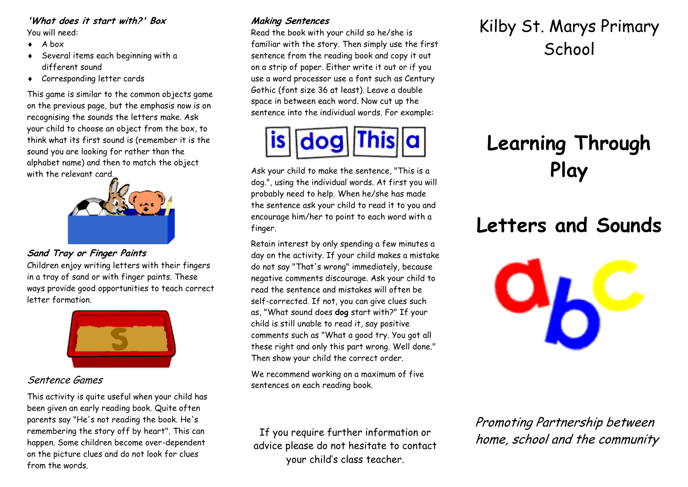#### **'What does it start with?' Box** You will need:

- $\bullet$  A box
- ◆ Several items each beginning with a different sound
- Corresponding letter cards

This game is similar to the common objects game on the previous page, but the emphasis now is on recognising the sounds the letters make. Ask your child to choose an object from the box, to think what its first sound is (remember it is the sound you are looking for rather than the alphabet name) and then to match the object with the relevant card.



**Sand Tray or Finger Paints**

Children enjoy writing letters with their fingers in a tray of sand or with finger paints. These ways provide good opportunities to teach correct letter formation.



# Sentence Games

This activity is quite useful when your child has been given an early reading book. Quite often parents say "He's not reading the book. He's remembering the story off by heart". This can happen. Some children become over-dependent on the picture clues and do not look for clues from the words.

# **Making Sentences**

Read the book with your child so he/she is familiar with the story. Then simply use the first sentence from the reading book and copy it out on a strip of paper. Either write it out or if you use a word processor use a font such as Century Gothic (font size 36 at least). Leave a double space in between each word. Now cut up the sentence into the individual words. For example:



Ask your child to make the sentence, "This is a dog.", using the individual words. At first you will probably need to help. When he/she has made the sentence ask your child to read it to you and encourage him/her to point to each word with a finger.

Retain interest by only spending a few minutes a day on the activity. If your child makes a mistake do not say "That's wrong" immediately, because negative comments discourage. Ask your child to read the sentence and mistakes will often be self-corrected. If not, you can give clues such as, "What sound does **dog** start with?" If your child is still unable to read it, say positive comments such as "What a good try. You got all these right and only this part wrong. Well done." Then show your child the correct order.

We recommend working on a maximum of five sentences on each reading book.

# Kilby St. Marys Primary **School**

# **Learning Through Play**

# **Letters and Sounds**



Promoting Partnership between home, school and the community

If you require further information or advice please do not hesitate to contact your child's class teacher.